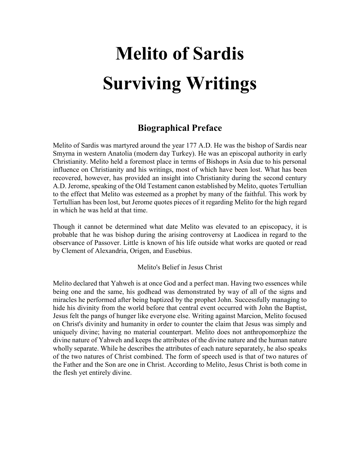# **Melito of Sardis Surviving Writings**

# **Biographical Preface**

Melito of Sardis was martyred around the year 177 A.D. He was the [bishop](https://en.wikipedia.org/wiki/Bishop) of [Sardis](https://en.wikipedia.org/wiki/Sardis) near [Smyrna](https://en.wikipedia.org/wiki/Smyrna) in western [Anatolia](https://en.wikipedia.org/wiki/Early_centers_of_Christianity#Anatolia) (modern day Turkey). He was an episcopal authority in early Christianity. Melito held a foremost place in terms of Bishops in Asia due to his personal influence on Christianity and his writings, most of which have been [lost.](https://en.wikipedia.org/wiki/Lost_works) What has been recovered, however, has provided an insight into Christianity during the second century A.D[. Jerome,](https://en.wikipedia.org/wiki/Jerome) speaking of the [Old Testament](https://en.wikipedia.org/wiki/Old_Testament) [canon](https://en.wikipedia.org/wiki/Biblical_canon) established by Melito, quote[s Tertullian](https://en.wikipedia.org/wiki/Tertullian) to the effect that Melito was esteemed as a prophet by many of the faithful. This work by Tertullian has been lost, but Jerome quotes pieces of it regarding Melito for the high regard in which he was held at that time.

Though it cannot be determined what date Melito was elevated to an [episcopacy,](https://en.wikipedia.org/wiki/Episcopacy) it is probable that he was bishop during the arising controversy at Laodicea in regard to the observance of Passover. Little is known of his life outside what works are quoted or read by [Clement of Alexandria,](https://en.wikipedia.org/wiki/Clement_of_Alexandria) [Origen,](https://en.wikipedia.org/wiki/Origen) and [Eusebius.](https://en.wikipedia.org/wiki/Eusebius)

Melito's Belief in Jesus Christ

Melito declared that Yahweh is at once God and a perfect man. Having two essences while being one and the same, his godhead was demonstrated by way of all of the signs and miracles he performed after being baptized by the prophet John. Successfully managing to hide his divinity from the world before that central event occurred with John the Baptist, Jesus felt the pangs of hunger like everyone else. Writing against Marcion, Melito focused on Christ's divinity and humanity in order to counter the claim that Jesus was simply and uniquely divine; having no material counterpart. Melito does not anthropomorphize the divine nature of Yahweh and keeps the attributes of the divine nature and the human nature wholly separate. While he describes the attributes of each nature separately, he also speaks of the two natures of Christ combined. The form of speech used is that of two natures of the Father and the Son are one in Christ. According to Melito, Jesus Christ is both come in the flesh yet entirely divine.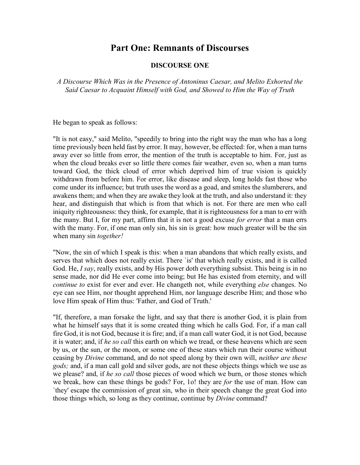# **Part One: Remnants of Discourses**

## **DISCOURSE ONE**

*A Discourse Which Was in the Presence of Antoninus Caesar, and Melito Exhorted the Said Caesar to Acquaint Himself with God, and Showed to Him the Way of Truth*

He began to speak as follows:

"It is not easy," said Melito, "speedily to bring into the right way the man who has a long time previously been held fast by error. It may, however, be effected: for, when a man turns away ever so little from error, the mention of the truth is acceptable to him. For, just as when the cloud breaks ever so little there comes fair weather, even so, when a man turns toward God, the thick cloud of error which deprived him of true vision is quickly withdrawn from before him. For error, like disease and sleep, long holds fast those who come under its influence; but truth uses the word as a goad, and smites the slumberers, and awakens them; and when they are awake they look at the truth, and also understand it: they hear, and distinguish that which is from that which is not. For there are men who call iniquity righteousness: they think, for example, that it is righteousness for a man to err with the many. But I, for my part, affirm that it is not a good excuse *for error* that a man errs with the many. For, if one man only sin, his sin is great: how much greater will be the sin when many sin *together!*

"Now, the sin of which I speak is this: when a man abandons that which really exists, and serves that which does not really exist. There 'is' that which really exists, and it is called God. He, *I say*, really exists, and by His power doth everything subsist. This being is in no sense made, nor did He ever come into being; but He has existed from eternity, and will *continue to* exist for ever and ever. He changeth not, while everything *else* changes. No eye can see Him, nor thought apprehend Him, nor language describe Him; and those who love Him speak of Him thus: 'Father, and God of Truth.'

"If, therefore, a man forsake the light, and say that there is another God, it is plain from what he himself says that it is some created thing which he calls God. For, if a man call fire God, it is not God, because it is fire; and, if a man call water God, it is not God, because it is water; and, if *he so call* this earth on which we tread, or these heavens which are seen by us, or the sun, or the moon, or some one of these stars which run their course without ceasing by *Divine* command, and do not speed along by their own will, *neither are these gods;* and, if a man call gold and silver gods, are not these objects things which we use as we please? and, if *he so call* those pieces of wood which we burn, or those stones which we break, how can these things be gods? For, 1o! they are *for* the use of man. How can `they' escape the commission of great sin, who in their speech change the great God into those things which, so long as they continue, continue by *Divine* command?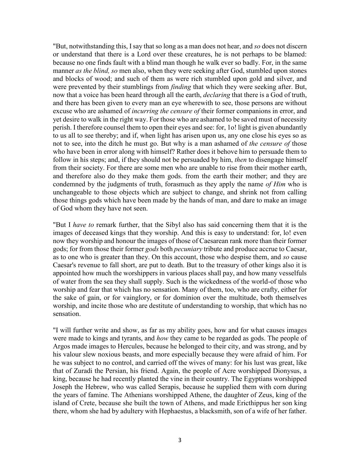"But, notwithstanding this, I say that so long as a man does not hear, and *so* does not discern or understand that there is a Lord over these creatures, he is not perhaps to be blamed: because no one finds fault with a blind man though he walk ever so badly. For, in the same manner *as the blind, so* men also, when they were seeking after God, stumbled upon stones and blocks of wood; and such of them as were rich stumbled upon gold and silver, and were prevented by their stumblings from *finding* that which they were seeking after. But, now that a voice has been heard through all the earth, *declaring* that there is a God of truth, and there has been given to every man an eye wherewith to see, those persons are without excuse who are ashamed of *incurring the censure of* their former companions in error, and yet desire to walk in the right way. For those who are ashamed to be saved must of necessity perish. I therefore counsel them to open their eyes and see: for, 1o! light is given abundantly to us all to see thereby; and if, when light has arisen upon us, any one close his eyes so as not to see, into the ditch he must go. But why is a man ashamed of *the censure of* those who have been in error along with himself? Rather does it behove him to persuade them to follow in his steps; and, if they should not be persuaded by him, *then* to disengage himself from their society. For there are some men who are unable to rise from their mother earth, and therefore also do they make them gods. from the earth their mother; and they are condemned by the judgments of truth, forasmuch as they apply the name *of Him* who is unchangeable to those objects which are subject to change, and shrink not from calling those things gods which have been made by the hands of man, and dare to make an image of God whom they have not seen.

"But I *have to* remark further, that the Sibyl also has said concerning them that it is the images of deceased kings that they worship. And this is easy to understand: for, lo! even now they worship and honour the images of those of Caesarean rank more than their former gods; for from those their former *gods* both *pecuniary* tribute and produce accrue to Caesar, as to one who is greater than they. On this account, those who despise them, and *so* cause Caesar's revenue to fall short, are put to death. But to the treasury of other kings also it is appointed how much the worshippers in various places shall pay, and how many vesselfuls of water from the sea they shall supply. Such is the wickedness of the world-of those who worship and fear that which has no sensation. Many of them, too, who are crafty, either for the sake of gain, or for vainglory, or for dominion over the multitude, both themselves worship, and incite those who are destitute of understanding to worship, that which has no sensation.

"I will further write and show, as far as my ability goes, how and for what causes images were made to kings and tyrants, and *how* they came to be regarded as gods. The people of Argos made images to Hercules, because he belonged to their city, and was strong, and by his valour slew noxious beasts, and more especially because they were afraid of him. For he was subject to no control, and carried off the wives of many: for his lust was great, like that of Zuradi the Persian, his friend. Again, the people of Acre worshipped Dionysus, a king, because he had recently planted the vine in their country. The Egyptians worshipped Joseph the Hebrew, who was called Serapis, because he supplied them with corn during the years of famine. The Athenians worshipped Athene, the daughter of Zeus, king of the island of Crete, because she built the town of Athens, and made Ericthippus her son king there, whom she had by adultery with Hephaestus, a blacksmith, son of a wife of her father.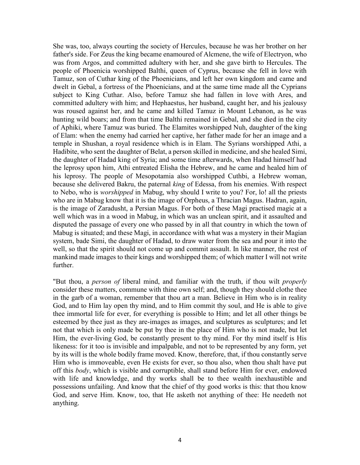She was, too, always courting the society of Hercules, because he was her brother on her father's side. For Zeus the king became enamoured of Alcmene, the wife of Electryon, who was from Argos, and committed adultery with her, and she gave birth to Hercules. The people of Phoenicia worshipped Balthi, queen of Cyprus, because she fell in love with Tamuz, son of Cuthar king of the Phoenicians, and left her own kingdom and came and dwelt in Gebal, a fortress of the Phoenicians, and at the same time made all the Cyprians subject to King Cuthar. Also, before Tamuz she had fallen in love with Ares, and committed adultery with him; and Hephaestus, her husband, caught her, and his jealousy was roused against her, and he came and killed Tamuz in Mount Lebanon, as he was hunting wild boars; and from that time Balthi remained in Gebal, and she died in the city of Aphiki, where Tamuz was buried. The Elamites worshipped Nuh, daughter of the king of Elam: when the enemy had carried her captive, her father made for her an image and a temple in Shushan, a royal residence which is in Elam. The Syrians worshipped Athi, a Hadibite, who sent the daughter of Belat, a person skilled in medicine, and she healed Simi, the daughter of Hadad king of Syria; and some time afterwards, when Hadad himself had the leprosy upon him, Athi entreated Elisha the Hebrew, and he came and healed him of his leprosy. The people of Mesopotamia also worshipped Cuthbi, a Hebrew woman, because she delivered Bakru, the paternal *king* of Edessa, from his enemies. With respect to Nebo, who is *worshipped* in Mabug, why should I write to you? For, lo! all the priests who are in Mabug know that it is the image of Orpheus, a Thracian Magus. Hadran, again, is the image of Zaradusht, a Persian Magus. For both of these Magi practised magic at a well which was in a wood in Mabug, in which was an unclean spirit, and it assaulted and disputed the passage of every one who passed by in all that country in which the town of Mabug is situated; and these Magi, in accordance with what was a mystery in their Magian system, bade Simi, the daughter of Hadad, to draw water from the sea and pour it into the well, so that the spirit should not come up and commit assault. In like manner, the rest of mankind made images to their kings and worshipped them; of which matter I will not write further.

"But thou, a *person of* liberal mind, and familiar with the truth, if thou wilt *properly* consider these matters, commune with thine own self; and, though they should clothe thee in the garb of a woman, remember that thou art a man. Believe in Him who is in reality God, and to Him lay open thy mind, and to Him commit thy soul, and He is able to give thee immortal life for ever, for everything is possible to Him; and let all other things be esteemed by thee just as they are-images as images, and sculptures as sculptures; and let not that which is only made be put by thee in the place of Him who is not made, but let Him, the ever-living God, be constantly present to thy mind. For thy mind itself is His likeness: for it too is invisible and impalpable, and not to be represented by any form, yet by its will is the whole bodily frame moved. Know, therefore, that, if thou constantly serve Him who is immoveable, even He exists for ever, so thou also, when thou shalt have put off this *body*, which is visible and corruptible, shall stand before Him for ever, endowed with life and knowledge, and thy works shall be to thee wealth inexhaustible and possessions unfailing. And know that the chief of thy good works is this: that thou know God, and serve Him. Know, too, that He asketh not anything of thee: He needeth not anything.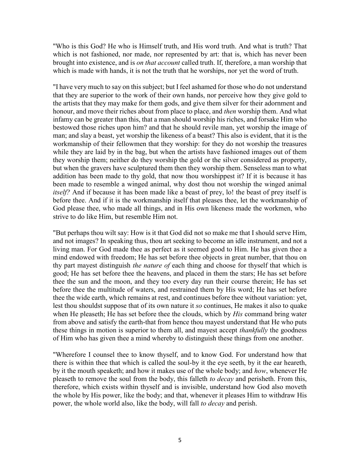"Who is this God? He who is Himself truth, and His word truth. And what is truth? That which is not fashioned, nor made, nor represented by art: that is, which has never been brought into existence, and is *on that account* called truth. If, therefore, a man worship that which is made with hands, it is not the truth that he worships, nor yet the word of truth.

"I have very much to say on this subject; but I feel ashamed for those who do not understand that they are superior to the work of their own hands, nor perceive how they give gold to the artists that they may make for them gods, and give them silver for their adornment and honour, and move their riches about from place to place, and *then* worship them. And what infamy can be greater than this, that a man should worship his riches, and forsake Him who bestowed those riches upon him? and that he should revile man, yet worship the image of man; and slay a beast, yet worship the likeness of a beast? This also is evident, that it is the workmanship of their fellowmen that they worship: for they do not worship the treasures while they are laid by in the bag, but when the artists have fashioned images out of them they worship them; neither do they worship the gold or the silver considered as property, but when the gravers have sculptured them then they worship them. Senseless man to what addition has been made to thy gold, that now thou worshippest it? If it is because it has been made to resemble a winged animal, why dost thou not worship the winged animal *itself?* And if because it has been made like a beast of prey, lo! the beast of prey itself is before thee. And if it is the workmanship itself that pleases thee, let the workmanship of God please thee, who made all things, and in His own likeness made the workmen, who strive to do like Him, but resemble Him not.

"But perhaps thou wilt say: How is it that God did not so make me that I should serve Him, and not images? In speaking thus, thou art seeking to become an idle instrument, and not a living man. For God made thee as perfect as it seemed good to Him. He has given thee a mind endowed with freedom; He has set before thee objects in great number, that thou on thy part mayest distinguish *the nature of* each thing and choose for thyself that which is good; He has set before thee the heavens, and placed in them the stars; He has set before thee the sun and the moon, and they too every day run their course therein; He has set before thee the multitude of waters, and restrained them by His word; He has set before thee the wide earth, which remains at rest, and continues before thee without variation: yet, lest thou shouldst suppose that of its own nature it *so* continues, He makes it also to quake when He pleaseth; He has set before thee the clouds, which by *His* command bring water from above and satisfy the earth-that from hence thou mayest understand that He who puts these things in motion is superior to them all, and mayest accept *thankfully* the goodness of Him who has given thee a mind whereby to distinguish these things from one another.

"Wherefore I counsel thee to know thyself, and to know God. For understand how that there is within thee that which is called the soul-by it the eye seeth, by it the ear heareth, by it the mouth speaketh; and how it makes use of the whole body; and *how*, whenever He pleaseth to remove the soul from the body, this falleth *to decay* and perisheth. From this, therefore, which exists within thyself and is invisible, understand how God also moveth the whole by His power, like the body; and that, whenever it pleases Him to withdraw His power, the whole world also, like the body, will fall *to decay* and perish.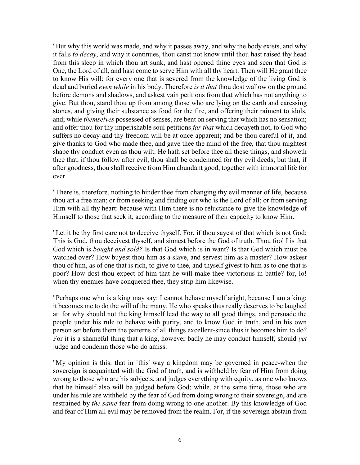"But why this world was made, and why it passes away, and why the body exists, and why it falls *to decay*, and why it continues, thou canst not know until thou hast raised thy head from this sleep in which thou art sunk, and hast opened thine eyes and seen that God is One, the Lord of all, and hast come to serve Him with all thy heart. Then will He grant thee to know His will: for every one that is severed from the knowledge of the living God is dead and buried *even while* in his body. Therefore *is it that* thou dost wallow on the ground before demons and shadows, and askest vain petitions from that which has not anything to give. But thou, stand thou up from among those who are lying on the earth and caressing stones, and giving their substance as food for the fire, and offering their raiment to idols, and; while *themselves* possessed of senses, are bent on serving that which has no sensation; and offer thou for thy imperishable soul petitions *far that* which decayeth not, to God who suffers no decay-and thy freedom will be at once apparent; and be thou careful of it, and give thanks to God who made thee, and gave thee the mind of the free, that thou mightest shape thy conduct even as thou wilt. He hath set before thee all these things, and showeth thee that, if thou follow after evil, thou shall be condemned for thy evil deeds; but that, if after goodness, thou shall receive from Him abundant good, together with immortal life for ever.

"There is, therefore, nothing to hinder thee from changing thy evil manner of life, because thou art a free man; or from seeking and finding out who is the Lord of all; or from serving Him with all thy heart: because with Him there is no reluctance to give the knowledge of Himself to those that seek it, according to the measure of their capacity to know Him.

"Let it be thy first care not to deceive thyself. For, if thou sayest of that which is not God: This is God, thou deceivest thyself, and sinnest before the God of truth. Thou fool I is that God which is *bought and sold?* Is that God which is in want? Is that God which must be watched over? How buyest thou him as a slave, and servest him as a master? How askest thou of him, as of one that is rich, to give to thee, and thyself givest to him as to one that is poor? How dost thou expect of him that he will make thee victorious in battle? for, lo! when thy enemies have conquered thee, they strip him likewise.

"Perhaps one who is a king may say: I cannot behave myself aright, because I am a king; it becomes me to do the will of the many. He who speaks thus really deserves to be laughed at: for why should not the king himself lead the way to all good things, and persuade the people under his rule to behave with purity, and to know God in truth, and in his own person set before them the patterns of all things excellent-since thus it becomes him to do? For it is a shameful thing that a king, however badly he may conduct himself, should *yet* judge and condemn those who do amiss.

"My opinion is this: that in `this' way a kingdom may be governed in peace-when the sovereign is acquainted with the God of truth, and is withheld by fear of Him from doing wrong to those who are his subjects, and judges everything with equity, as one who knows that he himself also will be judged before God; while, at the same time, those who are under his rule are withheld by the fear of God from doing wrong to their sovereign, and are restrained by *the same* fear from doing wrong to one another. By this knowledge of God and fear of Him all evil may be removed from the realm. For, if the sovereign abstain from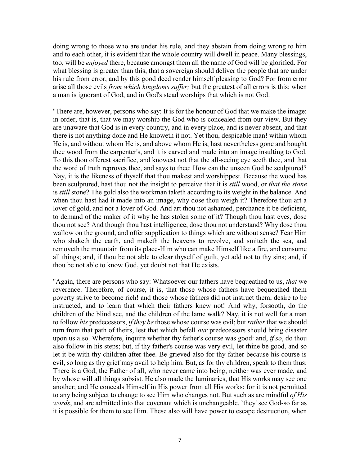doing wrong to those who are under his rule, and they abstain from doing wrong to him and to each other, it is evident that the whole country will dwell in peace. Many blessings, too, will be *enjoyed* there, because amongst them all the name of God will be glorified. For what blessing is greater than this, that a sovereign should deliver the people that are under his rule from error, and by this good deed render himself pleasing to God? For from error arise all those evils *from which kingdoms suffer;* but the greatest of all errors is this: when a man is ignorant of God, and in God's stead worships that which is not God.

"There are, however, persons who say: It is for the honour of God that we make the image: in order, that is, that we may worship the God who is concealed from our view. But they are unaware that God is in every country, and in every place, and is never absent, and that there is not anything done and He knoweth it not. Yet thou, despicable man! within whom He is, and without whom He is, and above whom He is, hast nevertheless gone and bought thee wood from the carpenter's, and it is carved and made into an image insulting to God. To this thou offerest sacrifice, and knowest not that the all-seeing eye seeth thee, and that the word of truth reproves thee, and says to thee: How can the unseen God be sculptured? Nay, it is the likeness of thyself that thou makest and worshippest. Because the wood has been sculptured, hast thou not the insight to perceive that it is *still* wood, or *that the stone* is *still* stone? The gold also the workman taketh according to its weight in the balance. And when thou hast had it made into an image, why dose thou weigh it? Therefore thou art a lover of gold, and not a lover of God. And art thou not ashamed, perchance it be deficient, to demand of the maker of it why he has stolen some of it? Though thou hast eyes, dose thou not see? And though thou hast intelligence, dose thou not understand? Why dose thou wallow on the ground, and offer supplication to things which are without sense? Fear Him who shaketh the earth, and maketh the heavens to revolve, and smiteth the sea, and removeth the mountain from its place-Him who can make Himself like a fire, and consume all things; and, if thou be not able to clear thyself of guilt, yet add not to thy sins; and, if thou be not able to know God, yet doubt not that He exists.

"Again, there are persons who say: Whatsoever our fathers have bequeathed to us, *that* we reverence. Therefore, of course, it is, that those whose fathers have bequeathed them poverty strive to become rich! and those whose fathers did not instruct them, desire to be instructed, and to learn that which their fathers knew not! And why, forsooth, do the children of the blind see, and the children of the lame walk? Nay, it is not well for a man to follow *his* predecessors, *if they be* those whose course was evil; but *rather* that we should turn from that path of theirs, lest that which befell *our* predecessors should bring disaster upon us also. Wherefore, inquire whether thy father's course was good: and, *if so*, do thou also follow in his steps; but, if thy father's course was very evil, let thine be good, and so let it be with thy children after thee. Be grieved also for thy father because his course is evil, so long as thy grief may avail to help him. But, as for thy children, speak to them thus: There is a God, the Father of all, who never came into being, neither was ever made, and by whose will all things subsist. He also made the luminaries, that His works may see one another; and He conceals Himself in His power from all His works: for it is not permitted to any being subject to change to see Him who changes not. But such as are mindful *of His words*, and are admitted into that covenant which is unchangeable, `they' see God-so far as it is possible for them to see Him. These also will have power to escape destruction, when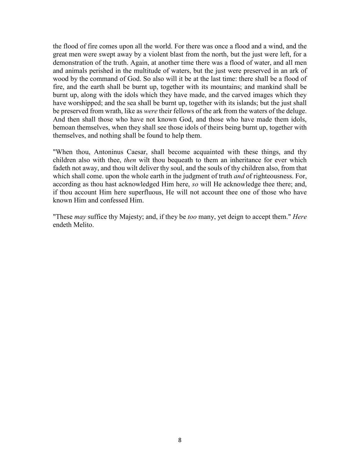the flood of fire comes upon all the world. For there was once a flood and a wind, and the great men were swept away by a violent blast from the north, but the just were left, for a demonstration of the truth. Again, at another time there was a flood of water, and all men and animals perished in the multitude of waters, but the just were preserved in an ark of wood by the command of God. So also will it be at the last time: there shall be a flood of fire, and the earth shall be burnt up, together with its mountains; and mankind shall be burnt up, along with the idols which they have made, and the carved images which they have worshipped; and the sea shall be burnt up, together with its islands; but the just shall be preserved from wrath, like as *were* their fellows of the ark from the waters of the deluge. And then shall those who have not known God, and those who have made them idols, bemoan themselves, when they shall see those idols of theirs being burnt up, together with themselves, and nothing shall be found to help them.

"When thou, Antoninus Caesar, shall become acquainted with these things, and thy children also with thee, *then* wilt thou bequeath to them an inheritance for ever which fadeth not away, and thou wilt deliver thy soul, and the souls of thy children also, from that which shall come. upon the whole earth in the judgment of truth *and* of righteousness. For, according as thou hast acknowledged Him here, *so* will He acknowledge thee there; and, if thou account Him here superfluous, He will not account thee one of those who have known Him and confessed Him.

"These *may* suffice thy Majesty; and, if they be *too* many, yet deign to accept them." *Here* endeth Melito.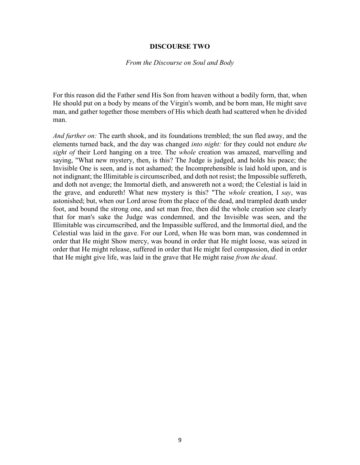#### **DISCOURSE TWO**

#### *From the Discourse on Soul and Body*

For this reason did the Father send His Son from heaven without a bodily form, that, when He should put on a body by means of the Virgin's womb, and be born man, He might save man, and gather together those members of His which death had scattered when he divided man.

*And further on:* The earth shook, and its foundations trembled; the sun fled away, and the elements turned back, and the day was changed *into night:* for they could not endure *the sight of* their Lord hanging on a tree. The *whole* creation was amazed, marvelling and saying, "What new mystery, then, is this? The Judge is judged, and holds his peace; the Invisible One is seen, and is not ashamed; the Incomprehensible is laid hold upon, and is not indignant; the Illimitable is circumscribed, and doth not resist; the Impossible suffereth, and doth not avenge; the Immortal dieth, and answereth not a word; the Celestial is laid in the grave, and endureth! What new mystery is this? "The *whole* creation, I *say*, was astonished; but, when our Lord arose from the place of the dead, and trampled death under foot, and bound the strong one, and set man free, then did the whole creation see clearly that for man's sake the Judge was condemned, and the Invisible was seen, and the Illimitable was circumscribed, and the Impassible suffered, and the Immortal died, and the Celestial was laid in the gave. For our Lord, when He was born man, was condemned in order that He might Show mercy, was bound in order that He might loose, was seized in order that He might release, suffered in order that He might feel compassion, died in order that He might give life, was laid in the grave that He might raise *from the dead*.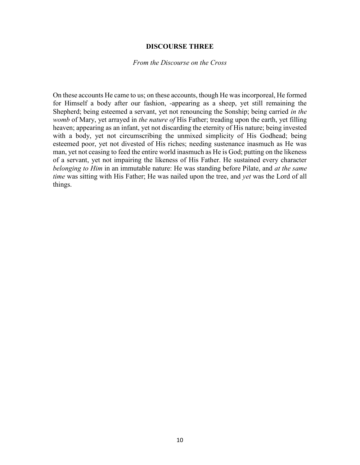### **DISCOURSE THREE**

#### *From the Discourse on the Cross*

On these accounts He came to us; on these accounts, though He was incorporeal, He formed for Himself a body after our fashion, -appearing as a sheep, yet still remaining the Shepherd; being esteemed a servant, yet not renouncing the Sonship; being carried *in the womb* of Mary, yet arrayed in *the nature of* His Father; treading upon the earth, yet filling heaven; appearing as an infant, yet not discarding the eternity of His nature; being invested with a body, yet not circumscribing the unmixed simplicity of His Godhead; being esteemed poor, yet not divested of His riches; needing sustenance inasmuch as He was man, yet not ceasing to feed the entire world inasmuch as He is God; putting on the likeness of a servant, yet not impairing the likeness of His Father. He sustained every character *belonging to Him* in an immutable nature: He was standing before Pilate, and *at the same time* was sitting with His Father; He was nailed upon the tree, and *yet* was the Lord of all things.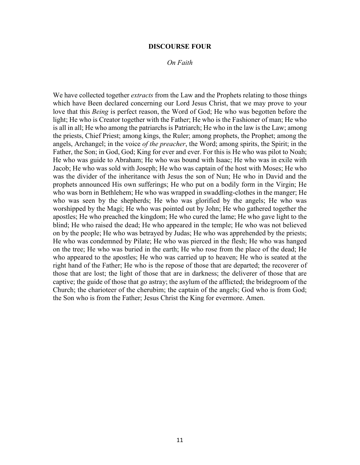#### **DISCOURSE FOUR**

#### *On Faith*

We have collected together *extracts* from the Law and the Prophets relating to those things which have Been declared concerning our Lord Jesus Christ, that we may prove to your love that this *Being* is perfect reason, the Word of God; He who was begotten before the light; He who is Creator together with the Father; He who is the Fashioner of man; He who is all in all; He who among the patriarchs is Patriarch; He who in the law is the Law; among the priests, Chief Priest; among kings, the Ruler; among prophets, the Prophet; among the angels, Archangel; in the voice *of the preacher*, the Word; among spirits, the Spirit; in the Father, the Son; in God, God; King for ever and ever. For this is He who was pilot to Noah; He who was guide to Abraham; He who was bound with Isaac; He who was in exile with Jacob; He who was sold with Joseph; He who was captain of the host with Moses; He who was the divider of the inheritance with Jesus the son of Nun; He who in David and the prophets announced His own sufferings; He who put on a bodily form in the Virgin; He who was born in Bethlehem; He who was wrapped in swaddling-clothes in the manger; He who was seen by the shepherds; He who was glorified by the angels; He who was worshipped by the Magi; He who was pointed out by John; He who gathered together the apostles; He who preached the kingdom; He who cured the lame; He who gave light to the blind; He who raised the dead; He who appeared in the temple; He who was not believed on by the people; He who was betrayed by Judas; He who was apprehended by the priests; He who was condemned by Pilate; He who was pierced in the flesh; He who was hanged on the tree; He who was buried in the earth; He who rose from the place of the dead; He who appeared to the apostles; He who was carried up to heaven; He who is seated at the right hand of the Father; He who is the repose of those that are departed; the recoverer of those that are lost; the light of those that are in darkness; the deliverer of those that are captive; the guide of those that go astray; the asylum of the afflicted; the bridegroom of the Church; the charioteer of the cherubim; the captain of the angels; God who is from God; the Son who is from the Father; Jesus Christ the King for evermore. Amen.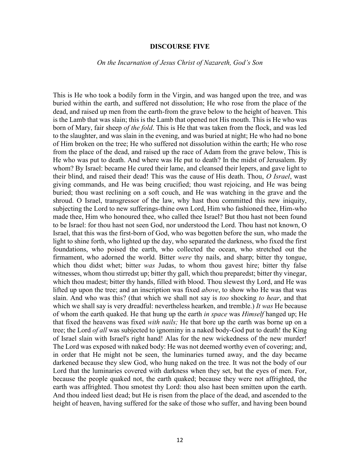## **DISCOURSE FIVE**

#### *On the Incarnation of Jesus Christ of Nazareth, God's Son*

This is He who took a bodily form in the Virgin, and was hanged upon the tree, and was buried within the earth, and suffered not dissolution; He who rose from the place of the dead, and raised up men from the earth-from the grave below to the height of heaven. This is the Lamb that was slain; this is the Lamb that opened not His mouth. This is He who was born of Mary, fair sheep *of the fold*. This is He that was taken from the flock, and was led to the slaughter, and was slain in the evening, and was buried at night; He who had no bone of Him broken on the tree; He who suffered not dissolution within the earth; He who rose from the place of the dead, and raised up the race of Adam from the grave below, This is He who was put to death. And where was He put to death? In the midst of Jerusalem. By whom? By Israel: became He cured their lame, and cleansed their lepers, and gave light to their blind, and raised their dead! This was the cause of His death. Thou, *O Israel*, wast giving commands, and He was being crucified; thou wast rejoicing, and He was being buried; thou wast reclining on a soft couch, and He was watching in the grave and the shroud. O Israel, transgressor of the law, why hast thou committed this new iniquity, subjecting the Lord to new sufferings-thine own Lord, Him who fashioned thee, Him-who made thee, Him who honoured thee, who called thee Israel? But thou hast not been found to be Israel: for thou hast not seen God, nor understood the Lord. Thou hast not known, O Israel, that this was the first-born of God, who was begotten before the sun, who made the light to shine forth, who lighted up the day, who separated the darkness, who fixed the first foundations, who poised the earth, who collected the ocean, who stretched out the firmament, who adorned the world. Bitter *were* thy nails, and sharp; bitter thy tongue, which thou didst whet; bitter *was* Judas, to whom thou gavest hire; bitter thy false witnesses, whom thou stirredst up; bitter thy gall, which thou preparedst; bitter thy vinegar, which thou madest; bitter thy hands, filled with blood. Thou slewest thy Lord, and He was lifted up upon the tree; and an inscription was fixed *above*, to show who He was that was slain. And who was this? (that which we shall not say is *too* shocking *to hear*, and that which we shall say is very dreadful: nevertheless hearken, and tremble.) *It was* He because of whom the earth quaked. He that hung up the earth *in space* was *Himself* hanged up; He that fixed the heavens was fixed *with nails;* He that bore up the earth was borne up on a tree; the Lord *of all* was subjected to ignominy in a naked body-God put to death! the King of Israel slain with Israel's right hand! Alas for the new wickedness of the new murder! The Lord was exposed with naked body: He was not deemed worthy even of covering; and, in order that He might not be seen, the luminaries turned away, and the day became darkened because they slew God, who hung naked on the tree. It was not the body of our Lord that the luminaries covered with darkness when they set, but the eyes of men. For, because the people quaked not, the earth quaked; because they were not affrighted, the earth was affrighted. Thou smotest thy Lord: thou also hast been smitten upon the earth. And thou indeed liest dead; but He is risen from the place of the dead, and ascended to the height of heaven, having suffered for the sake of those who suffer, and having been bound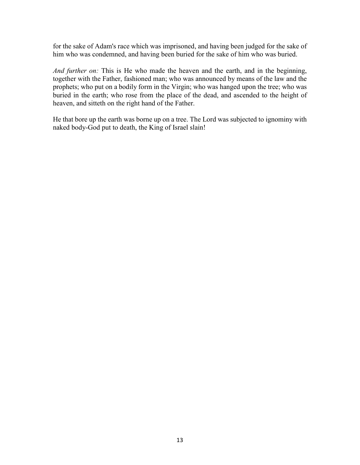for the sake of Adam's race which was imprisoned, and having been judged for the sake of him who was condemned, and having been buried for the sake of him who was buried.

*And further on:* This is He who made the heaven and the earth, and in the beginning, together with the Father, fashioned man; who was announced by means of the law and the prophets; who put on a bodily form in the Virgin; who was hanged upon the tree; who was buried in the earth; who rose from the place of the dead, and ascended to the height of heaven, and sitteth on the right hand of the Father.

He that bore up the earth was borne up on a tree. The Lord was subjected to ignominy with naked body-God put to death, the King of Israel slain!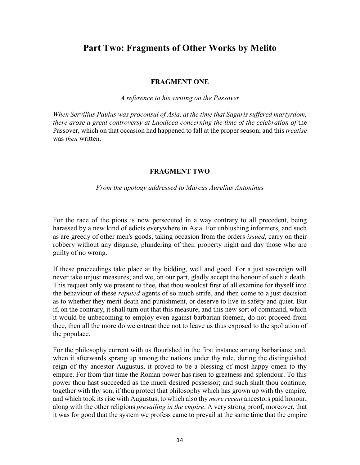# **Part Two: Fragments of Other Works by Melito**

## **FRAGMENT ONE**

*A reference to his writing on the Passover*

*When Servilius Paulus was proconsul of Asia, at the time that Sagaris suffered martyrdom, there arose a great controversy at Laodicea concerning the time of the celebration of* the Passover, which on that occasion had happened to fall at the proper season; and this *treatise* was *then* written.

## **FRAGMENT TWO**

*From the apology addressed to Marcus Aurelius Antoninus*

For the race of the pious is now persecuted in a way contrary to all precedent, being harassed by a new kind of edicts everywhere in Asia. For unblushing informers, and such as are greedy of other men's goods, taking occasion from the orders *issued*, carry on their robbery without any disguise, plundering of their property night and day those who are guilty of no wrong.

If these proceedings take place at thy bidding, well and good. For a just sovereign will never take unjust measures; and we, on our part, gladly accept the honour of such a death. This request only we present to thee, that thou wouldst first of all examine for thyself into the behaviour of these *reputed* agents of so much strife, and then come to a just decision as to whether they merit death and punishment, or deserve to live in safety and quiet. But if, on the contrary, it shall turn out that this measure, and this new sort of command, which it would be unbecoming to employ even against barbarian foemen, do not proceed from thee, then all the more do we entreat thee not to leave us thus exposed to the spoliation of the populace.

For the philosophy current with us flourished in the first instance among barbarians; and, when it afterwards sprang up among the nations under thy rule, during the distinguished reign of thy ancestor Augustus, it proved to be a blessing of most happy omen to thy empire. For from that time the Roman power has risen to greatness and splendour. To this power thou hast succeeded as the much desired possessor; and such shalt thou continue, together with thy son, if thou protect that philosophy which has grown up with thy empire, and which took its rise with Augustus; to which also thy *more recent* ancestors paid honour, along with the other religions *prevailing in the empire*. A very strong proof, moreover, that it was for good that the system we profess came to prevail at the same time that the empire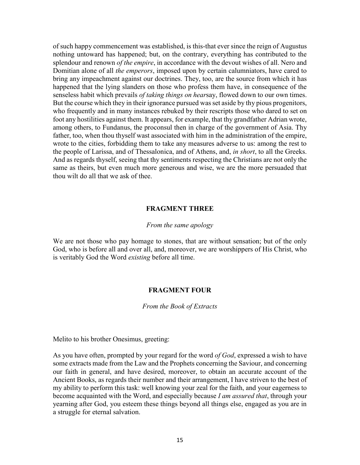of such happy commencement was established, is this-that ever since the reign of Augustus nothing untoward has happened; but, on the contrary, everything has contributed to the splendour and renown *of the empire*, in accordance with the devout wishes of all. Nero and Domitian alone of all *the emperors*, imposed upon by certain calumniators, have cared to bring any impeachment against our doctrines. They, too, are the source from which it has happened that the lying slanders on those who profess them have, in consequence of the senseless habit which prevails *of taking things on hear*say, flowed down to our own times. But the course which they in their ignorance pursued was set aside by thy pious progenitors, who frequently and in many instances rebuked by their rescripts those who dared to set on foot any hostilities against them. It appears, for example, that thy grandfather Adrian wrote, among others, to Fundanus, the proconsul then in charge of the government of Asia. Thy father, too, when thou thyself wast associated with him in the administration of the empire, wrote to the cities, forbidding them to take any measures adverse to us: among the rest to the people of Larissa, and of Thessalonica, and of Athens, and, *in short*, to all the Greeks. And as regards thyself, seeing that thy sentiments respecting the Christians are not only the same as theirs, but even much more generous and wise, we are the more persuaded that thou wilt do all that we ask of thee.

# **FRAGMENT THREE**

# *From the same apology*

We are not those who pay homage to stones, that are without sensation; but of the only God, who is before all and over all, and, moreover, we are worshippers of His Christ, who is veritably God the Word *existing* before all time.

# **FRAGMENT FOUR**

#### *From the Book of Extracts*

Melito to his brother Onesimus, greeting:

As you have often, prompted by your regard for the word *of God*, expressed a wish to have some extracts made from the Law and the Prophets concerning the Saviour, and concerning our faith in general, and have desired, moreover, to obtain an accurate account of the Ancient Books, as regards their number and their arrangement, I have striven to the best of my ability to perform this task: well knowing your zeal for the faith, and your eagerness to become acquainted with the Word, and especially because *I am assured that*, through your yearning after God, you esteem these things beyond all things else, engaged as you are in a struggle for eternal salvation.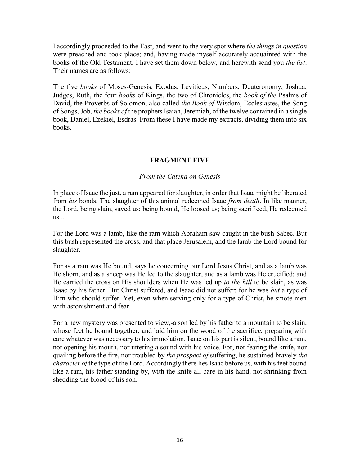I accordingly proceeded to the East, and went to the very spot where *the things in question* were preached and took place; and, having made myself accurately acquainted with the books of the Old Testament, I have set them down below, and herewith send you *the list*. Their names are as follows:

The five *books* of Moses-Genesis, Exodus, Leviticus, Numbers, Deuteronomy; Joshua, Judges, Ruth, the four *books* of Kings, the two of Chronicles, the *book of the* Psalms of David, the Proverbs of Solomon, also called *the Book of* Wisdom, Ecclesiastes, the Song of Songs, Job, *the books of* the prophets Isaiah, Jeremiah, of the twelve contained in a single book, Daniel, Ezekiel, Esdras. From these I have made my extracts, dividing them into six books.

# **FRAGMENT FIVE**

# *From the Catena on Genesis*

In place of Isaac the just, a ram appeared for slaughter, in order that Isaac might be liberated from *his* bonds. The slaughter of this animal redeemed Isaac *from death*. In like manner, the Lord, being slain, saved us; being bound, He loosed us; being sacrificed, He redeemed us...

For the Lord was a lamb, like the ram which Abraham saw caught in the bush Sabec. But this bush represented the cross, and that place Jerusalem, and the lamb the Lord bound for slaughter.

For as a ram was He bound, says he concerning our Lord Jesus Christ, and as a lamb was He shorn, and as a sheep was He led to the slaughter, and as a lamb was He crucified; and He carried the cross on His shoulders when He was led up *to the hill* to be slain, as was Isaac by his father. But Christ suffered, and Isaac did not suffer: for he was *but* a type of Him who should suffer. Yet, even when serving only for a type of Christ, he smote men with astonishment and fear.

For a new mystery was presented to view,-a son led by his father to a mountain to be slain, whose feet he bound together, and laid him on the wood of the sacrifice, preparing with care whatever was necessary to his immolation. Isaac on his part is silent, bound like a ram, not opening his mouth, nor uttering a sound with his voice. For, not fearing the knife, nor quailing before the fire, nor troubled by *the prospect of* suffering, he sustained bravely *the character of* the type of the Lord. Accordingly there lies Isaac before us, with his feet bound like a ram, his father standing by, with the knife all bare in his hand, not shrinking from shedding the blood of his son.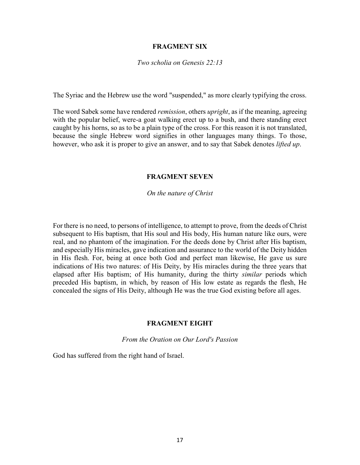#### **FRAGMENT SIX**

#### *Two scholia on Genesis 22:13*

The Syriac and the Hebrew use the word "suspended," as more clearly typifying the cross.

The word Sabek some have rendered *remission*, others *upright*, as if the meaning, agreeing with the popular belief, were-a goat walking erect up to a bush, and there standing erect caught by his horns, so as to be a plain type of the cross. For this reason it is not translated, because the single Hebrew word signifies in other languages many things. To those, however, who ask it is proper to give an answer, and to say that Sabek denotes *lifted up*.

#### **FRAGMENT SEVEN**

*On the nature of Christ*

For there is no need, to persons of intelligence, to attempt to prove, from the deeds of Christ subsequent to His baptism, that His soul and His body, His human nature like ours, were real, and no phantom of the imagination. For the deeds done by Christ after His baptism, and especially His miracles, gave indication and assurance to the world of the Deity hidden in His flesh. For, being at once both God and perfect man likewise, He gave us sure indications of His two natures: of His Deity, by His miracles during the three years that elapsed after His baptism; of His humanity, during the thirty *similar* periods which preceded His baptism, in which, by reason of His low estate as regards the flesh, He concealed the signs of His Deity, although He was the true God existing before all ages.

## **FRAGMENT EIGHT**

*From the Oration on Our Lord's Passion*

God has suffered from the right hand of Israel.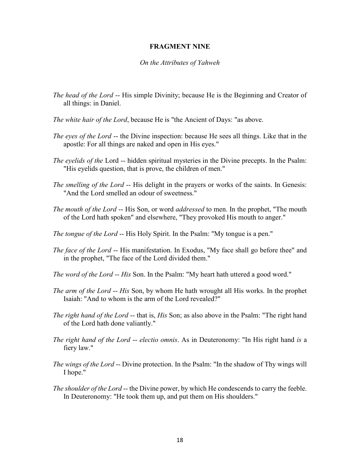#### **FRAGMENT NINE**

#### *On the Attributes of Yahweh*

- *The head of the Lord* -- His simple Divinity; because He is the Beginning and Creator of all things: in Daniel.
- *The white hair of the Lord*, because He is "the Ancient of Days: "as above.
- *The eyes of the Lord* -- the Divine inspection: because He sees all things. Like that in the apostle: For all things are naked and open in His eyes."
- *The eyelids of the* Lord -- hidden spiritual mysteries in the Divine precepts. In the Psalm: "His eyelids question, that is prove, the children of men."
- *The smelling of the Lord* -- His delight in the prayers or works of the saints. In Genesis: "And the Lord smelled an odour of sweetness."
- *The mouth of the Lord* -- His Son, or word *addressed* to men. In the prophet, "The mouth of the Lord hath spoken" and elsewhere, "They provoked His mouth to anger."
- *The tongue of the Lord* -- His Holy Spirit. In the Psalm: "My tongue is a pen."
- *The face of the Lord* -- His manifestation. In Exodus, "My face shall go before thee" and in the prophet, "The face of the Lord divided them."
- *The word of the Lord* -- *His* Son. In the Psalm: "My heart hath uttered a good word."
- *The arm of the Lord* -- *His* Son, by whom He hath wrought all His works. In the prophet Isaiah: "And to whom is the arm of the Lord revealed?"
- *The right hand of the Lord* -- that is, *His* Son; as also above in the Psalm: "The right hand of the Lord hath done valiantly."
- *The right hand of the Lord* -- *electio omnis*. As in Deuteronomy: "In His right hand *is* a fiery law."
- *The wings of the Lord* -- Divine protection. In the Psalm: "In the shadow of Thy wings will I hope."
- *The shoulder of the Lord* -- the Divine power, by which He condescends to carry the feeble. In Deuteronomy: "He took them up, and put them on His shoulders."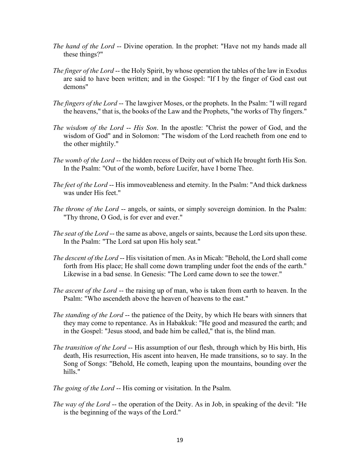- *The hand of the Lord* -- Divine operation. In the prophet: "Have not my hands made all these things?"
- *The finger of the Lord* -- the Holy Spirit, by whose operation the tables of the law in Exodus are said to have been written; and in the Gospel: "If I by the finger of God cast out demons"
- *The fingers of the Lord* -- The lawgiver Moses, or the prophets. In the Psalm: "I will regard the heavens," that is, the books of the Law and the Prophets, "the works of Thy fingers."
- *The wisdom of the Lord* -- *His Son*. In the apostle: "Christ the power of God, and the wisdom of God" and in Solomon: "The wisdom of the Lord reacheth from one end to the other mightily."
- *The womb of the Lord* -- the hidden recess of Deity out of which He brought forth His Son. In the Psalm: "Out of the womb, before Lucifer, have I borne Thee.
- *The feet of the Lord* -- His immoveableness and eternity. In the Psalm: "And thick darkness" was under His feet."
- *The throne of the Lord* -- angels, or saints, or simply sovereign dominion. In the Psalm: "Thy throne, O God, is for ever and ever."
- *The seat of the Lord* -- the same as above, angels or saints, because the Lord sits upon these. In the Psalm: "The Lord sat upon His holy seat."
- *The descent of the Lord* -- His visitation of men. As in Micah: "Behold, the Lord shall come forth from His place; He shall come down trampling under foot the ends of the earth." Likewise in a bad sense. In Genesis: "The Lord came down to see the tower."
- *The ascent of the Lord* -- the raising up of man, who is taken from earth to heaven. In the Psalm: "Who ascendeth above the heaven of heavens to the east."
- *The standing of the Lord* -- the patience of the Deity, by which He bears with sinners that they may come to repentance. As in Habakkuk: "He good and measured the earth; and in the Gospel: "Jesus stood, and bade him be called," that is, the blind man.
- *The transition of the Lord* -- His assumption of our flesh, through which by His birth, His death, His resurrection, His ascent into heaven, He made transitions, so to say. In the Song of Songs: "Behold, He cometh, leaping upon the mountains, bounding over the hills."
- *The going of the Lord* -- His coming or visitation. In the Psalm.
- *The way of the Lord* -- the operation of the Deity. As in Job, in speaking of the devil: "He is the beginning of the ways of the Lord."